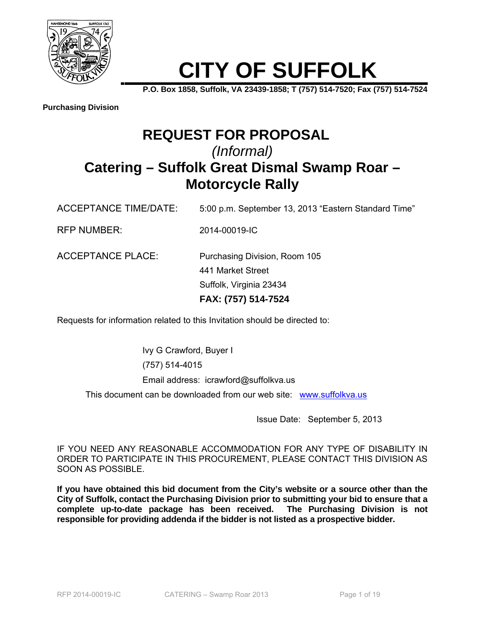

# **CITY OF SUFFOLK**

**P.O. Box 1858, Suffolk, VA 23439-1858; T (757) 514-7520; Fax (757) 514-7524**

**Purchasing Division**

## **REQUEST FOR PROPOSAL** *(Informal)*  **Catering – Suffolk Great Dismal Swamp Roar – Motorcycle Rally**

ACCEPTANCE TIME/DATE: 5:00 p.m. September 13, 2013 "Eastern Standard Time"

RFP NUMBER: 2014-00019-IC

ACCEPTANCE PLACE: Purchasing Division, Room 105 441 Market Street Suffolk, Virginia 23434 **FAX: (757) 514-7524** 

Requests for information related to this Invitation should be directed to:

Ivy G Crawford, Buyer I (757) 514-4015 Email address: icrawford@suffolkva.us This document can be downloaded from our web site: www.suffolkva.us

Issue Date: September 5, 2013

IF YOU NEED ANY REASONABLE ACCOMMODATION FOR ANY TYPE OF DISABILITY IN ORDER TO PARTICIPATE IN THIS PROCUREMENT, PLEASE CONTACT THIS DIVISION AS SOON AS POSSIBLE.

**If you have obtained this bid document from the City's website or a source other than the City of Suffolk, contact the Purchasing Division prior to submitting your bid to ensure that a complete up-to-date package has been received. The Purchasing Division is not responsible for providing addenda if the bidder is not listed as a prospective bidder.**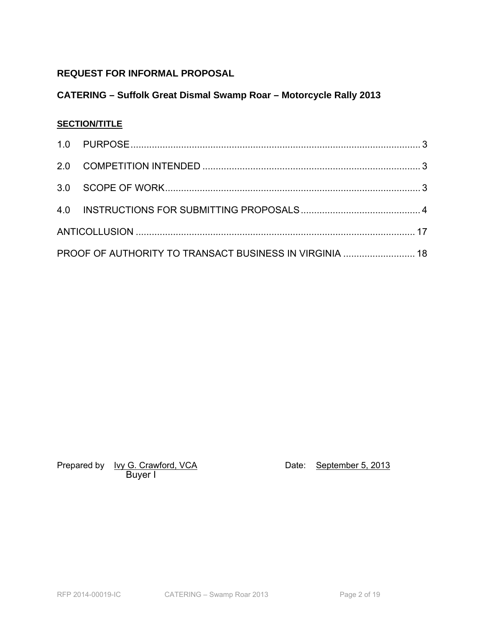## **REQUEST FOR INFORMAL PROPOSAL**

## **CATERING – Suffolk Great Dismal Swamp Roar – Motorcycle Rally 2013**

## **SECTION/TITLE**

| PROOF OF AUTHORITY TO TRANSACT BUSINESS IN VIRGINIA  18 |  |
|---------------------------------------------------------|--|

Prepared by <u>Ivy G. Crawford, VCA</u> Date: September 5, 2013 Buyer I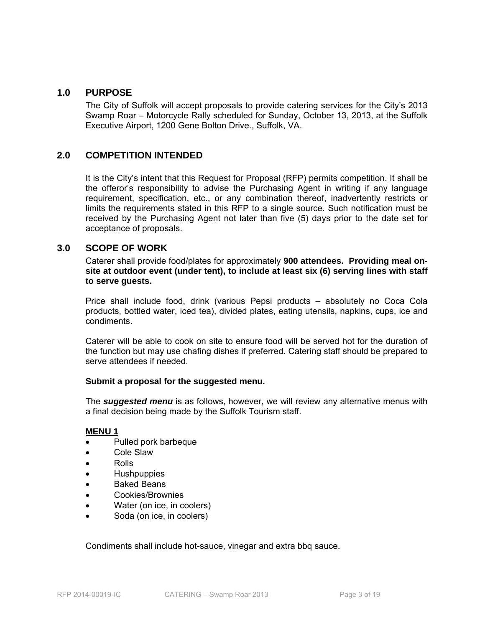#### **1.0 PURPOSE**

The City of Suffolk will accept proposals to provide catering services for the City's 2013 Swamp Roar – Motorcycle Rally scheduled for Sunday, October 13, 2013, at the Suffolk Executive Airport, 1200 Gene Bolton Drive., Suffolk, VA.

### **2.0 COMPETITION INTENDED**

It is the City's intent that this Request for Proposal (RFP) permits competition. It shall be the offeror's responsibility to advise the Purchasing Agent in writing if any language requirement, specification, etc., or any combination thereof, inadvertently restricts or limits the requirements stated in this RFP to a single source. Such notification must be received by the Purchasing Agent not later than five (5) days prior to the date set for acceptance of proposals.

#### **3.0 SCOPE OF WORK**

Caterer shall provide food/plates for approximately **900 attendees. Providing meal onsite at outdoor event (under tent), to include at least six (6) serving lines with staff to serve guests.** 

Price shall include food, drink (various Pepsi products – absolutely no Coca Cola products, bottled water, iced tea), divided plates, eating utensils, napkins, cups, ice and condiments.

Caterer will be able to cook on site to ensure food will be served hot for the duration of the function but may use chafing dishes if preferred. Catering staff should be prepared to serve attendees if needed.

#### **Submit a proposal for the suggested menu.**

The *suggested menu* is as follows, however, we will review any alternative menus with a final decision being made by the Suffolk Tourism staff.

#### **MENU 1**

- Pulled pork barbeque
- Cole Slaw
- Rolls
- Hushpuppies
- Baked Beans
- Cookies/Brownies
- Water (on ice, in coolers)
- Soda (on ice, in coolers)

Condiments shall include hot-sauce, vinegar and extra bbq sauce.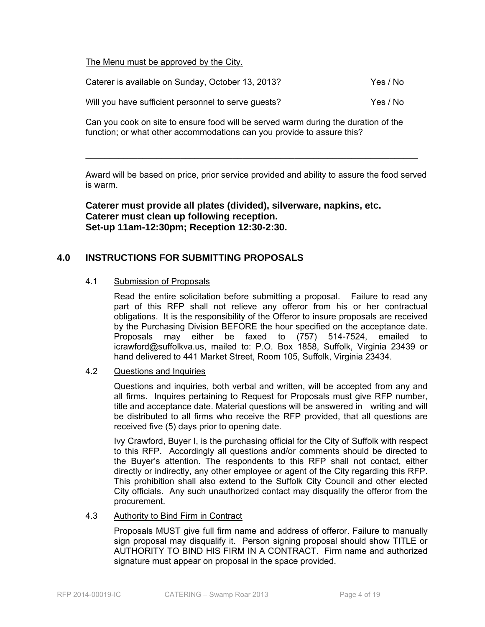The Menu must be approved by the City.

| Caterer is available on Sunday, October 13, 2013?   | Yes / No |
|-----------------------------------------------------|----------|
| Will you have sufficient personnel to serve guests? | Yes / No |

Can you cook on site to ensure food will be served warm during the duration of the function; or what other accommodations can you provide to assure this?

Award will be based on price, prior service provided and ability to assure the food served is warm.

 $\mathcal{L}_\mathcal{L} = \mathcal{L}_\mathcal{L} = \mathcal{L}_\mathcal{L} = \mathcal{L}_\mathcal{L} = \mathcal{L}_\mathcal{L} = \mathcal{L}_\mathcal{L} = \mathcal{L}_\mathcal{L} = \mathcal{L}_\mathcal{L} = \mathcal{L}_\mathcal{L} = \mathcal{L}_\mathcal{L} = \mathcal{L}_\mathcal{L} = \mathcal{L}_\mathcal{L} = \mathcal{L}_\mathcal{L} = \mathcal{L}_\mathcal{L} = \mathcal{L}_\mathcal{L} = \mathcal{L}_\mathcal{L} = \mathcal{L}_\mathcal{L}$ 

**Caterer must provide all plates (divided), silverware, napkins, etc. Caterer must clean up following reception. Set-up 11am-12:30pm; Reception 12:30-2:30.** 

## **4.0 INSTRUCTIONS FOR SUBMITTING PROPOSALS**

#### 4.1 Submission of Proposals

 Read the entire solicitation before submitting a proposal. Failure to read any part of this RFP shall not relieve any offeror from his or her contractual obligations. It is the responsibility of the Offeror to insure proposals are received by the Purchasing Division BEFORE the hour specified on the acceptance date. Proposals may either be faxed to (757) 514-7524, emailed icrawford@suffolkva.us, mailed to: P.O. Box 1858, Suffolk, Virginia 23439 or hand delivered to 441 Market Street, Room 105, Suffolk, Virginia 23434.

#### 4.2 Questions and Inquiries

 Questions and inquiries, both verbal and written, will be accepted from any and all firms. Inquires pertaining to Request for Proposals must give RFP number, title and acceptance date. Material questions will be answered in writing and will be distributed to all firms who receive the RFP provided, that all questions are received five (5) days prior to opening date.

 Ivy Crawford, Buyer I, is the purchasing official for the City of Suffolk with respect to this RFP. Accordingly all questions and/or comments should be directed to the Buyer's attention. The respondents to this RFP shall not contact, either directly or indirectly, any other employee or agent of the City regarding this RFP. This prohibition shall also extend to the Suffolk City Council and other elected City officials. Any such unauthorized contact may disqualify the offeror from the procurement.

#### 4.3 Authority to Bind Firm in Contract

 Proposals MUST give full firm name and address of offeror. Failure to manually sign proposal may disqualify it. Person signing proposal should show TITLE or AUTHORITY TO BIND HIS FIRM IN A CONTRACT. Firm name and authorized signature must appear on proposal in the space provided.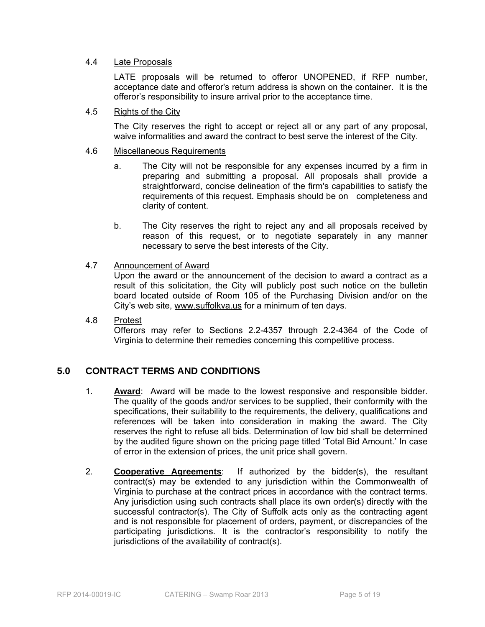#### 4.4 Late Proposals

 LATE proposals will be returned to offeror UNOPENED, if RFP number, acceptance date and offeror's return address is shown on the container. It is the offeror's responsibility to insure arrival prior to the acceptance time.

#### 4.5 Rights of the City

 The City reserves the right to accept or reject all or any part of any proposal, waive informalities and award the contract to best serve the interest of the City.

#### 4.6 Miscellaneous Requirements

- a. The City will not be responsible for any expenses incurred by a firm in preparing and submitting a proposal. All proposals shall provide a straightforward, concise delineation of the firm's capabilities to satisfy the requirements of this request. Emphasis should be on completeness and clarity of content.
- b. The City reserves the right to reject any and all proposals received by reason of this request, or to negotiate separately in any manner necessary to serve the best interests of the City.

#### 4.7 Announcement of Award

 Upon the award or the announcement of the decision to award a contract as a result of this solicitation, the City will publicly post such notice on the bulletin board located outside of Room 105 of the Purchasing Division and/or on the City's web site, www.suffolkva.us for a minimum of ten days.

## 4.8 Protest Offerors may refer to Sections 2.2-4357 through 2.2-4364 of the Code of Virginia to determine their remedies concerning this competitive process.

#### **5.0 CONTRACT TERMS AND CONDITIONS**

- 1. **Award**: Award will be made to the lowest responsive and responsible bidder. The quality of the goods and/or services to be supplied, their conformity with the specifications, their suitability to the requirements, the delivery, qualifications and references will be taken into consideration in making the award. The City reserves the right to refuse all bids. Determination of low bid shall be determined by the audited figure shown on the pricing page titled 'Total Bid Amount.' In case of error in the extension of prices, the unit price shall govern.
- 2. **Cooperative Agreements**: If authorized by the bidder(s), the resultant contract(s) may be extended to any jurisdiction within the Commonwealth of Virginia to purchase at the contract prices in accordance with the contract terms. Any jurisdiction using such contracts shall place its own order(s) directly with the successful contractor(s). The City of Suffolk acts only as the contracting agent and is not responsible for placement of orders, payment, or discrepancies of the participating jurisdictions. It is the contractor's responsibility to notify the jurisdictions of the availability of contract(s).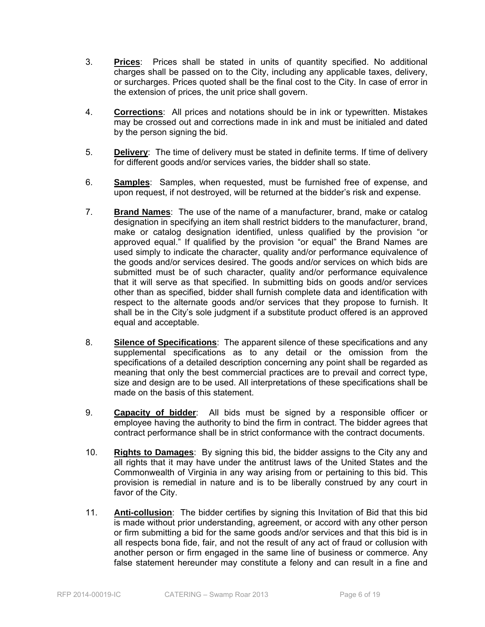- 3. **Prices**: Prices shall be stated in units of quantity specified. No additional charges shall be passed on to the City, including any applicable taxes, delivery, or surcharges. Prices quoted shall be the final cost to the City. In case of error in the extension of prices, the unit price shall govern.
- 4. **Corrections**: All prices and notations should be in ink or typewritten. Mistakes may be crossed out and corrections made in ink and must be initialed and dated by the person signing the bid.
- 5. **Delivery**: The time of delivery must be stated in definite terms. If time of delivery for different goods and/or services varies, the bidder shall so state.
- 6. **Samples**: Samples, when requested, must be furnished free of expense, and upon request, if not destroyed, will be returned at the bidder's risk and expense.
- 7. **Brand Names**: The use of the name of a manufacturer, brand, make or catalog designation in specifying an item shall restrict bidders to the manufacturer, brand, make or catalog designation identified, unless qualified by the provision "or approved equal." If qualified by the provision "or equal" the Brand Names are used simply to indicate the character, quality and/or performance equivalence of the goods and/or services desired. The goods and/or services on which bids are submitted must be of such character, quality and/or performance equivalence that it will serve as that specified. In submitting bids on goods and/or services other than as specified, bidder shall furnish complete data and identification with respect to the alternate goods and/or services that they propose to furnish. It shall be in the City's sole judgment if a substitute product offered is an approved equal and acceptable.
- 8. **Silence of Specifications**: The apparent silence of these specifications and any supplemental specifications as to any detail or the omission from the specifications of a detailed description concerning any point shall be regarded as meaning that only the best commercial practices are to prevail and correct type, size and design are to be used. All interpretations of these specifications shall be made on the basis of this statement.
- 9. **Capacity of bidder**: All bids must be signed by a responsible officer or employee having the authority to bind the firm in contract. The bidder agrees that contract performance shall be in strict conformance with the contract documents.
- 10. **Rights to Damages**: By signing this bid, the bidder assigns to the City any and all rights that it may have under the antitrust laws of the United States and the Commonwealth of Virginia in any way arising from or pertaining to this bid. This provision is remedial in nature and is to be liberally construed by any court in favor of the City.
- 11. **Anti-collusion**: The bidder certifies by signing this Invitation of Bid that this bid is made without prior understanding, agreement, or accord with any other person or firm submitting a bid for the same goods and/or services and that this bid is in all respects bona fide, fair, and not the result of any act of fraud or collusion with another person or firm engaged in the same line of business or commerce. Any false statement hereunder may constitute a felony and can result in a fine and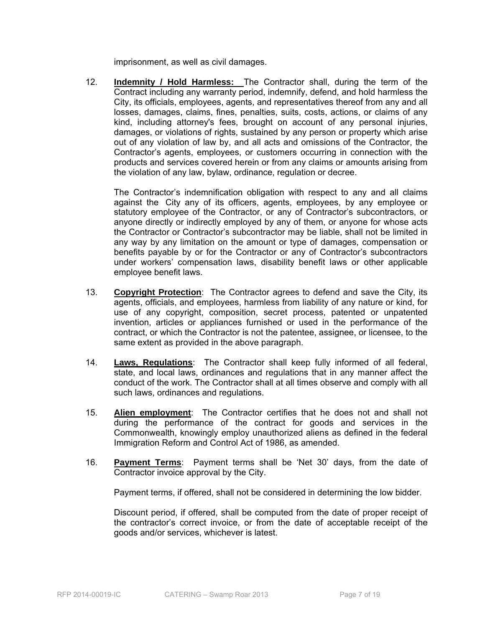imprisonment, as well as civil damages.

12. **Indemnity / Hold Harmless:** The Contractor shall, during the term of the Contract including any warranty period, indemnify, defend, and hold harmless the City, its officials, employees, agents, and representatives thereof from any and all losses, damages, claims, fines, penalties, suits, costs, actions, or claims of any kind, including attorney's fees, brought on account of any personal injuries, damages, or violations of rights, sustained by any person or property which arise out of any violation of law by, and all acts and omissions of the Contractor, the Contractor's agents, employees, or customers occurring in connection with the products and services covered herein or from any claims or amounts arising from the violation of any law, bylaw, ordinance, regulation or decree.

The Contractor's indemnification obligation with respect to any and all claims against the City any of its officers, agents, employees, by any employee or statutory employee of the Contractor, or any of Contractor's subcontractors, or anyone directly or indirectly employed by any of them, or anyone for whose acts the Contractor or Contractor's subcontractor may be liable, shall not be limited in any way by any limitation on the amount or type of damages, compensation or benefits payable by or for the Contractor or any of Contractor's subcontractors under workers' compensation laws, disability benefit laws or other applicable employee benefit laws.

- 13. **Copyright Protection**: The Contractor agrees to defend and save the City, its agents, officials, and employees, harmless from liability of any nature or kind, for use of any copyright, composition, secret process, patented or unpatented invention, articles or appliances furnished or used in the performance of the contract, or which the Contractor is not the patentee, assignee, or licensee, to the same extent as provided in the above paragraph.
- 14. **Laws, Regulations**: The Contractor shall keep fully informed of all federal, state, and local laws, ordinances and regulations that in any manner affect the conduct of the work. The Contractor shall at all times observe and comply with all such laws, ordinances and regulations.
- 15. **Alien employment**: The Contractor certifies that he does not and shall not during the performance of the contract for goods and services in the Commonwealth, knowingly employ unauthorized aliens as defined in the federal Immigration Reform and Control Act of 1986, as amended.
- 16. **Payment Terms**: Payment terms shall be 'Net 30' days, from the date of Contractor invoice approval by the City.

Payment terms, if offered, shall not be considered in determining the low bidder.

 Discount period, if offered, shall be computed from the date of proper receipt of the contractor's correct invoice, or from the date of acceptable receipt of the goods and/or services, whichever is latest.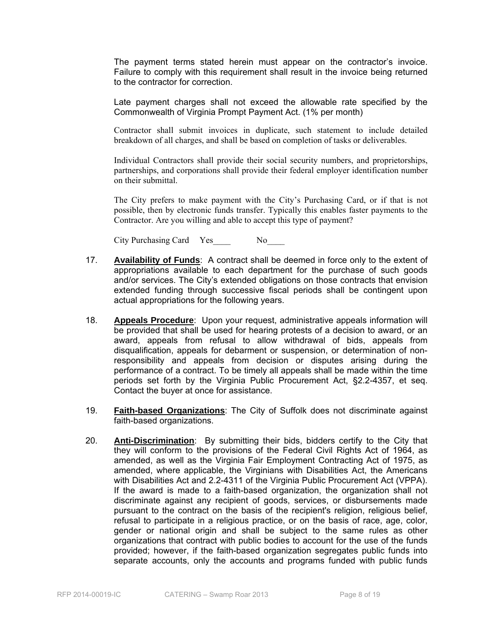The payment terms stated herein must appear on the contractor's invoice. Failure to comply with this requirement shall result in the invoice being returned to the contractor for correction.

 Late payment charges shall not exceed the allowable rate specified by the Commonwealth of Virginia Prompt Payment Act. (1% per month)

 Contractor shall submit invoices in duplicate, such statement to include detailed breakdown of all charges, and shall be based on completion of tasks or deliverables.

 Individual Contractors shall provide their social security numbers, and proprietorships, partnerships, and corporations shall provide their federal employer identification number on their submittal.

 The City prefers to make payment with the City's Purchasing Card, or if that is not possible, then by electronic funds transfer. Typically this enables faster payments to the Contractor. Are you willing and able to accept this type of payment?

City Purchasing Card Yes\_\_\_\_ No\_\_\_\_

- 17. **Availability of Funds**: A contract shall be deemed in force only to the extent of appropriations available to each department for the purchase of such goods and/or services. The City's extended obligations on those contracts that envision extended funding through successive fiscal periods shall be contingent upon actual appropriations for the following years.
- 18. **Appeals Procedure**: Upon your request, administrative appeals information will be provided that shall be used for hearing protests of a decision to award, or an award, appeals from refusal to allow withdrawal of bids, appeals from disqualification, appeals for debarment or suspension, or determination of nonresponsibility and appeals from decision or disputes arising during the performance of a contract. To be timely all appeals shall be made within the time periods set forth by the Virginia Public Procurement Act, §2.2-4357, et seq. Contact the buyer at once for assistance.
- 19. **Faith-based Organizations**: The City of Suffolk does not discriminate against faith-based organizations.
- 20. **Anti-Discrimination**: By submitting their bids, bidders certify to the City that they will conform to the provisions of the Federal Civil Rights Act of 1964, as amended, as well as the Virginia Fair Employment Contracting Act of 1975, as amended, where applicable, the Virginians with Disabilities Act, the Americans with Disabilities Act and 2.2-4311 of the Virginia Public Procurement Act (VPPA). If the award is made to a faith-based organization, the organization shall not discriminate against any recipient of goods, services, or disbursements made pursuant to the contract on the basis of the recipient's religion, religious belief, refusal to participate in a religious practice, or on the basis of race, age, color, gender or national origin and shall be subject to the same rules as other organizations that contract with public bodies to account for the use of the funds provided; however, if the faith-based organization segregates public funds into separate accounts, only the accounts and programs funded with public funds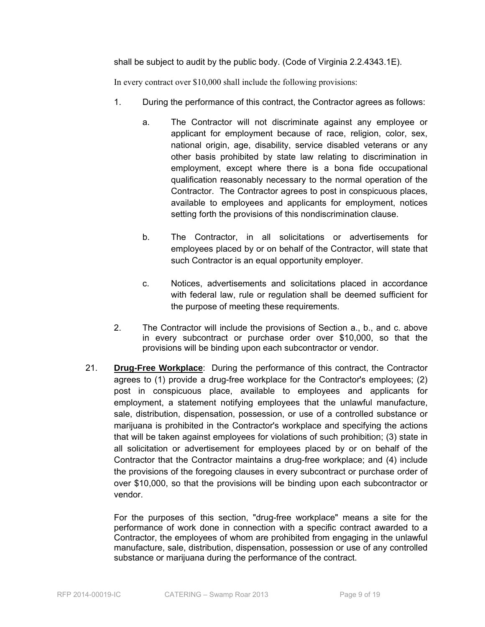shall be subject to audit by the public body. (Code of Virginia 2.2.4343.1E).

In every contract over \$10,000 shall include the following provisions:

- 1. During the performance of this contract, the Contractor agrees as follows:
	- a. The Contractor will not discriminate against any employee or applicant for employment because of race, religion, color, sex, national origin, age, disability, service disabled veterans or any other basis prohibited by state law relating to discrimination in employment, except where there is a bona fide occupational qualification reasonably necessary to the normal operation of the Contractor. The Contractor agrees to post in conspicuous places, available to employees and applicants for employment, notices setting forth the provisions of this nondiscrimination clause.
	- b. The Contractor, in all solicitations or advertisements for employees placed by or on behalf of the Contractor, will state that such Contractor is an equal opportunity employer.
	- c. Notices, advertisements and solicitations placed in accordance with federal law, rule or regulation shall be deemed sufficient for the purpose of meeting these requirements.
- 2. The Contractor will include the provisions of Section a., b., and c. above in every subcontract or purchase order over \$10,000, so that the provisions will be binding upon each subcontractor or vendor.
- 21. **Drug-Free Workplace**: During the performance of this contract, the Contractor agrees to (1) provide a drug-free workplace for the Contractor's employees; (2) post in conspicuous place, available to employees and applicants for employment, a statement notifying employees that the unlawful manufacture, sale, distribution, dispensation, possession, or use of a controlled substance or marijuana is prohibited in the Contractor's workplace and specifying the actions that will be taken against employees for violations of such prohibition; (3) state in all solicitation or advertisement for employees placed by or on behalf of the Contractor that the Contractor maintains a drug-free workplace; and (4) include the provisions of the foregoing clauses in every subcontract or purchase order of over \$10,000, so that the provisions will be binding upon each subcontractor or vendor.

For the purposes of this section, "drug-free workplace" means a site for the performance of work done in connection with a specific contract awarded to a Contractor, the employees of whom are prohibited from engaging in the unlawful manufacture, sale, distribution, dispensation, possession or use of any controlled substance or marijuana during the performance of the contract.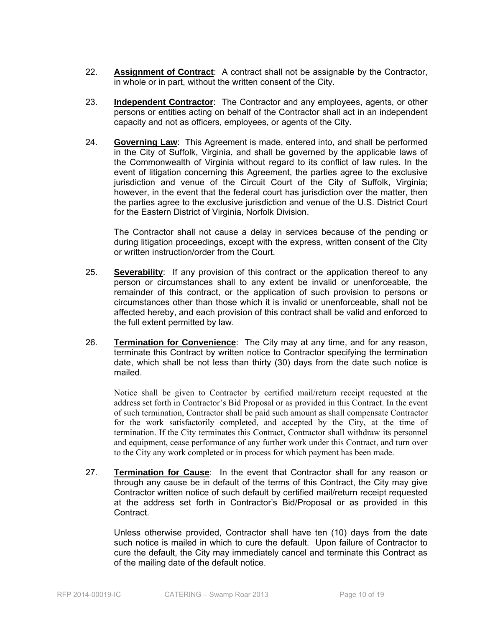- 22. **Assignment of Contract**: A contract shall not be assignable by the Contractor, in whole or in part, without the written consent of the City.
- 23. **Independent Contractor**: The Contractor and any employees, agents, or other persons or entities acting on behalf of the Contractor shall act in an independent capacity and not as officers, employees, or agents of the City.
- 24. **Governing Law**: This Agreement is made, entered into, and shall be performed in the City of Suffolk, Virginia, and shall be governed by the applicable laws of the Commonwealth of Virginia without regard to its conflict of law rules. In the event of litigation concerning this Agreement, the parties agree to the exclusive jurisdiction and venue of the Circuit Court of the City of Suffolk, Virginia; however, in the event that the federal court has jurisdiction over the matter, then the parties agree to the exclusive jurisdiction and venue of the U.S. District Court for the Eastern District of Virginia, Norfolk Division.

The Contractor shall not cause a delay in services because of the pending or during litigation proceedings, except with the express, written consent of the City or written instruction/order from the Court.

- 25. **Severability**: If any provision of this contract or the application thereof to any person or circumstances shall to any extent be invalid or unenforceable, the remainder of this contract, or the application of such provision to persons or circumstances other than those which it is invalid or unenforceable, shall not be affected hereby, and each provision of this contract shall be valid and enforced to the full extent permitted by law.
- 26. **Termination for Convenience**: The City may at any time, and for any reason, terminate this Contract by written notice to Contractor specifying the termination date, which shall be not less than thirty (30) days from the date such notice is mailed.

 Notice shall be given to Contractor by certified mail/return receipt requested at the address set forth in Contractor's Bid Proposal or as provided in this Contract. In the event of such termination, Contractor shall be paid such amount as shall compensate Contractor for the work satisfactorily completed, and accepted by the City, at the time of termination. If the City terminates this Contract, Contractor shall withdraw its personnel and equipment, cease performance of any further work under this Contract, and turn over to the City any work completed or in process for which payment has been made.

27. **Termination for Cause**: In the event that Contractor shall for any reason or through any cause be in default of the terms of this Contract, the City may give Contractor written notice of such default by certified mail/return receipt requested at the address set forth in Contractor's Bid/Proposal or as provided in this Contract.

 Unless otherwise provided, Contractor shall have ten (10) days from the date such notice is mailed in which to cure the default. Upon failure of Contractor to cure the default, the City may immediately cancel and terminate this Contract as of the mailing date of the default notice.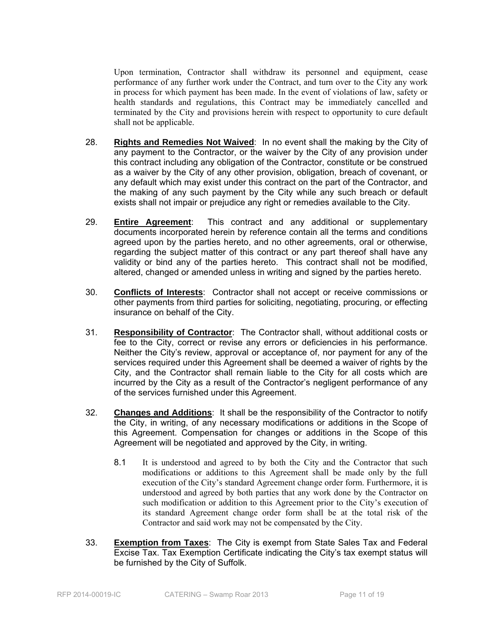Upon termination, Contractor shall withdraw its personnel and equipment, cease performance of any further work under the Contract, and turn over to the City any work in process for which payment has been made. In the event of violations of law, safety or health standards and regulations, this Contract may be immediately cancelled and terminated by the City and provisions herein with respect to opportunity to cure default shall not be applicable.

- 28. **Rights and Remedies Not Waived**: In no event shall the making by the City of any payment to the Contractor, or the waiver by the City of any provision under this contract including any obligation of the Contractor, constitute or be construed as a waiver by the City of any other provision, obligation, breach of covenant, or any default which may exist under this contract on the part of the Contractor, and the making of any such payment by the City while any such breach or default exists shall not impair or prejudice any right or remedies available to the City.
- 29. **Entire Agreement**: This contract and any additional or supplementary documents incorporated herein by reference contain all the terms and conditions agreed upon by the parties hereto, and no other agreements, oral or otherwise, regarding the subject matter of this contract or any part thereof shall have any validity or bind any of the parties hereto. This contract shall not be modified, altered, changed or amended unless in writing and signed by the parties hereto.
- 30. **Conflicts of Interests**: Contractor shall not accept or receive commissions or other payments from third parties for soliciting, negotiating, procuring, or effecting insurance on behalf of the City.
- 31. **Responsibility of Contractor**: The Contractor shall, without additional costs or fee to the City, correct or revise any errors or deficiencies in his performance. Neither the City's review, approval or acceptance of, nor payment for any of the services required under this Agreement shall be deemed a waiver of rights by the City, and the Contractor shall remain liable to the City for all costs which are incurred by the City as a result of the Contractor's negligent performance of any of the services furnished under this Agreement.
- 32. **Changes and Additions**: It shall be the responsibility of the Contractor to notify the City, in writing, of any necessary modifications or additions in the Scope of this Agreement. Compensation for changes or additions in the Scope of this Agreement will be negotiated and approved by the City, in writing.
	- 8.1 It is understood and agreed to by both the City and the Contractor that such modifications or additions to this Agreement shall be made only by the full execution of the City's standard Agreement change order form. Furthermore, it is understood and agreed by both parties that any work done by the Contractor on such modification or addition to this Agreement prior to the City's execution of its standard Agreement change order form shall be at the total risk of the Contractor and said work may not be compensated by the City.
- 33. **Exemption from Taxes**: The City is exempt from State Sales Tax and Federal Excise Tax. Tax Exemption Certificate indicating the City's tax exempt status will be furnished by the City of Suffolk.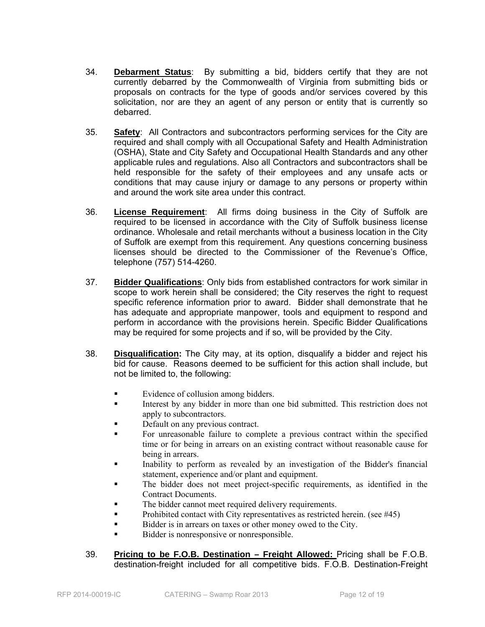- 34. **Debarment Status**: By submitting a bid, bidders certify that they are not currently debarred by the Commonwealth of Virginia from submitting bids or proposals on contracts for the type of goods and/or services covered by this solicitation, nor are they an agent of any person or entity that is currently so debarred.
- 35. **Safety**: All Contractors and subcontractors performing services for the City are required and shall comply with all Occupational Safety and Health Administration (OSHA), State and City Safety and Occupational Health Standards and any other applicable rules and regulations. Also all Contractors and subcontractors shall be held responsible for the safety of their employees and any unsafe acts or conditions that may cause injury or damage to any persons or property within and around the work site area under this contract.
- 36. **License Requirement**: All firms doing business in the City of Suffolk are required to be licensed in accordance with the City of Suffolk business license ordinance. Wholesale and retail merchants without a business location in the City of Suffolk are exempt from this requirement. Any questions concerning business licenses should be directed to the Commissioner of the Revenue's Office, telephone (757) 514-4260.
- 37. **Bidder Qualifications**: Only bids from established contractors for work similar in scope to work herein shall be considered; the City reserves the right to request specific reference information prior to award. Bidder shall demonstrate that he has adequate and appropriate manpower, tools and equipment to respond and perform in accordance with the provisions herein. Specific Bidder Qualifications may be required for some projects and if so, will be provided by the City.
- 38. **Disqualification:** The City may, at its option, disqualify a bidder and reject his bid for cause. Reasons deemed to be sufficient for this action shall include, but not be limited to, the following:
	- Evidence of collusion among bidders.
	- Interest by any bidder in more than one bid submitted. This restriction does not apply to subcontractors.
	- Default on any previous contract.
	- For unreasonable failure to complete a previous contract within the specified time or for being in arrears on an existing contract without reasonable cause for being in arrears.
	- Inability to perform as revealed by an investigation of the Bidder's financial statement, experience and/or plant and equipment.
	- The bidder does not meet project-specific requirements, as identified in the Contract Documents.
	- The bidder cannot meet required delivery requirements.
	- Prohibited contact with City representatives as restricted herein. (see #45)
	- Bidder is in arrears on taxes or other money owed to the City.
	- Bidder is nonresponsive or nonresponsible.
- 39. **Pricing to be F.O.B. Destination Freight Allowed:** Pricing shall be F.O.B. destination-freight included for all competitive bids. F.O.B. Destination-Freight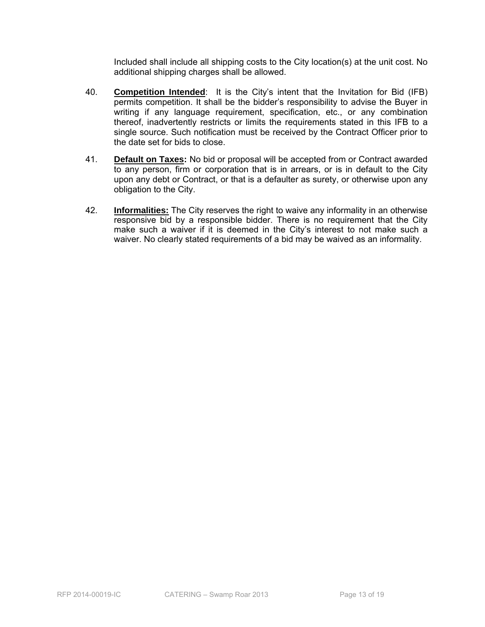Included shall include all shipping costs to the City location(s) at the unit cost. No additional shipping charges shall be allowed.

- 40. **Competition Intended**: It is the City's intent that the Invitation for Bid (IFB) permits competition. It shall be the bidder's responsibility to advise the Buyer in writing if any language requirement, specification, etc., or any combination thereof, inadvertently restricts or limits the requirements stated in this IFB to a single source. Such notification must be received by the Contract Officer prior to the date set for bids to close.
- 41. **Default on Taxes:** No bid or proposal will be accepted from or Contract awarded to any person, firm or corporation that is in arrears, or is in default to the City upon any debt or Contract, or that is a defaulter as surety, or otherwise upon any obligation to the City.
- 42. **Informalities:** The City reserves the right to waive any informality in an otherwise responsive bid by a responsible bidder. There is no requirement that the City make such a waiver if it is deemed in the City's interest to not make such a waiver. No clearly stated requirements of a bid may be waived as an informality.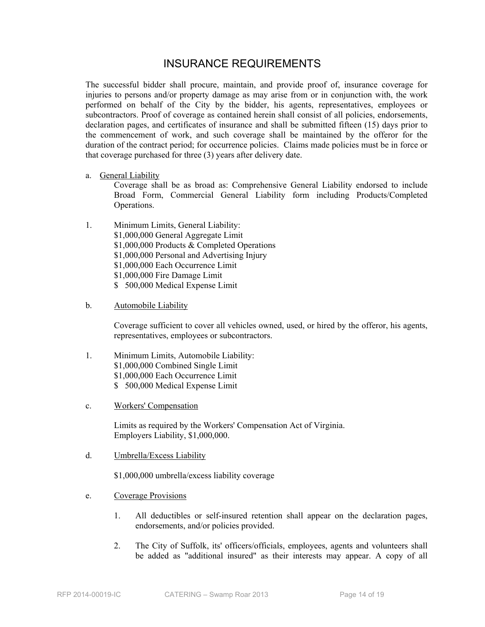## INSURANCE REQUIREMENTS

The successful bidder shall procure, maintain, and provide proof of, insurance coverage for injuries to persons and/or property damage as may arise from or in conjunction with, the work performed on behalf of the City by the bidder, his agents, representatives, employees or subcontractors. Proof of coverage as contained herein shall consist of all policies, endorsements, declaration pages, and certificates of insurance and shall be submitted fifteen (15) days prior to the commencement of work, and such coverage shall be maintained by the offeror for the duration of the contract period; for occurrence policies. Claims made policies must be in force or that coverage purchased for three (3) years after delivery date.

a. General Liability

Coverage shall be as broad as: Comprehensive General Liability endorsed to include Broad Form, Commercial General Liability form including Products/Completed Operations.

- 1. Minimum Limits, General Liability: \$1,000,000 General Aggregate Limit \$1,000,000 Products & Completed Operations \$1,000,000 Personal and Advertising Injury \$1,000,000 Each Occurrence Limit \$1,000,000 Fire Damage Limit \$ 500,000 Medical Expense Limit
- b. Automobile Liability

Coverage sufficient to cover all vehicles owned, used, or hired by the offeror, his agents, representatives, employees or subcontractors.

- 1. Minimum Limits, Automobile Liability: \$1,000,000 Combined Single Limit \$1,000,000 Each Occurrence Limit \$ 500,000 Medical Expense Limit
- c. Workers' Compensation

Limits as required by the Workers' Compensation Act of Virginia. Employers Liability, \$1,000,000.

d. Umbrella/Excess Liability

\$1,000,000 umbrella/excess liability coverage

- e. Coverage Provisions
	- 1. All deductibles or self-insured retention shall appear on the declaration pages, endorsements, and/or policies provided.
	- 2. The City of Suffolk, its' officers/officials, employees, agents and volunteers shall be added as "additional insured" as their interests may appear. A copy of all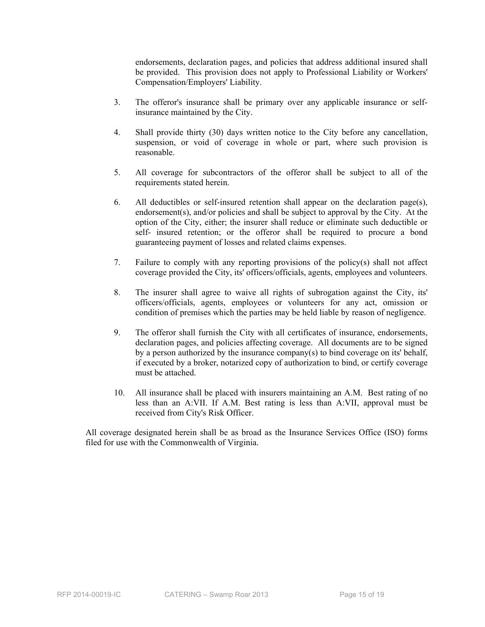endorsements, declaration pages, and policies that address additional insured shall be provided. This provision does not apply to Professional Liability or Workers' Compensation/Employers' Liability.

- 3. The offeror's insurance shall be primary over any applicable insurance or selfinsurance maintained by the City.
- 4. Shall provide thirty (30) days written notice to the City before any cancellation, suspension, or void of coverage in whole or part, where such provision is reasonable.
- 5. All coverage for subcontractors of the offeror shall be subject to all of the requirements stated herein.
- 6. All deductibles or self-insured retention shall appear on the declaration page(s), endorsement(s), and/or policies and shall be subject to approval by the City. At the option of the City, either; the insurer shall reduce or eliminate such deductible or self- insured retention; or the offeror shall be required to procure a bond guaranteeing payment of losses and related claims expenses.
- 7. Failure to comply with any reporting provisions of the policy(s) shall not affect coverage provided the City, its' officers/officials, agents, employees and volunteers.
- 8. The insurer shall agree to waive all rights of subrogation against the City, its' officers/officials, agents, employees or volunteers for any act, omission or condition of premises which the parties may be held liable by reason of negligence.
- 9. The offeror shall furnish the City with all certificates of insurance, endorsements, declaration pages, and policies affecting coverage. All documents are to be signed by a person authorized by the insurance company(s) to bind coverage on its' behalf, if executed by a broker, notarized copy of authorization to bind, or certify coverage must be attached.
- 10. All insurance shall be placed with insurers maintaining an A.M. Best rating of no less than an A:VII. If A.M. Best rating is less than A:VII, approval must be received from City's Risk Officer.

All coverage designated herein shall be as broad as the Insurance Services Office (ISO) forms filed for use with the Commonwealth of Virginia.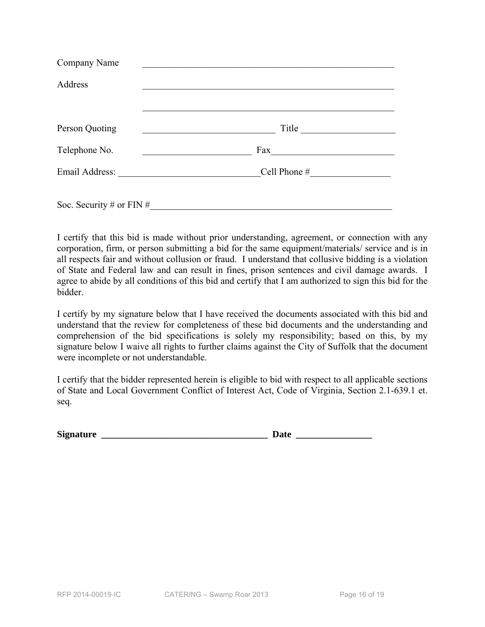| Company Name             |                 |
|--------------------------|-----------------|
| Address                  |                 |
|                          |                 |
| Person Quoting           | Title           |
| Telephone No.            | Fax             |
|                          | Cell Phone $\#$ |
| Soc. Security # or FIN # |                 |

I certify that this bid is made without prior understanding, agreement, or connection with any corporation, firm, or person submitting a bid for the same equipment/materials/ service and is in all respects fair and without collusion or fraud. I understand that collusive bidding is a violation of State and Federal law and can result in fines, prison sentences and civil damage awards. I agree to abide by all conditions of this bid and certify that I am authorized to sign this bid for the bidder.

I certify by my signature below that I have received the documents associated with this bid and understand that the review for completeness of these bid documents and the understanding and comprehension of the bid specifications is solely my responsibility; based on this, by my signature below I waive all rights to further claims against the City of Suffolk that the document were incomplete or not understandable.

I certify that the bidder represented herein is eligible to bid with respect to all applicable sections of State and Local Government Conflict of Interest Act, Code of Virginia, Section 2.1-639.1 et. seq.

| <b>Signature</b> | au |
|------------------|----|
|------------------|----|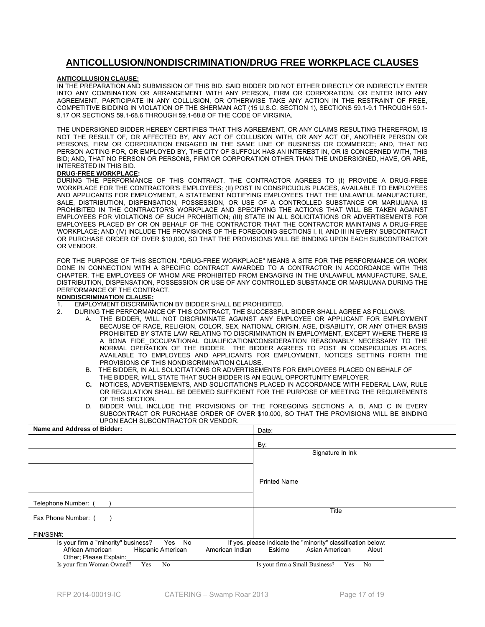#### **ANTICOLLUSION/NONDISCRIMINATION/DRUG FREE WORKPLACE CLAUSES**

#### **ANTICOLLUSION CLAUSE:**

IN THE PREPARATION AND SUBMISSION OF THIS BID, SAID BIDDER DID NOT EITHER DIRECTLY OR INDIRECTLY ENTER INTO ANY COMBINATION OR ARRANGEMENT WITH ANY PERSON, FIRM OR CORPORATION, OR ENTER INTO ANY AGREEMENT, PARTICIPATE IN ANY COLLUSION, OR OTHERWISE TAKE ANY ACTION IN THE RESTRAINT OF FREE, COMPETITIVE BIDDING IN VIOLATION OF THE SHERMAN ACT (15 U.S.C. SECTION 1), SECTIONS 59.1-9.1 THROUGH 59.1- 9.17 OR SECTIONS 59.1-68.6 THROUGH 59.1-68.8 OF THE CODE OF VIRGINIA.

THE UNDERSIGNED BIDDER HEREBY CERTIFIES THAT THIS AGREEMENT, OR ANY CLAIMS RESULTING THEREFROM, IS NOT THE RESULT OF, OR AFFECTED BY, ANY ACT OF COLLUSION WITH, OR ANY ACT OF, ANOTHER PERSON OR PERSONS, FIRM OR CORPORATION ENGAGED IN THE SAME LINE OF BUSINESS OR COMMERCE; AND, THAT NO PERSON ACTING FOR, OR EMPLOYED BY, THE CITY OF SUFFOLK HAS AN INTEREST IN, OR IS CONCERNED WITH, THIS BID; AND, THAT NO PERSON OR PERSONS, FIRM OR CORPORATION OTHER THAN THE UNDERSIGNED, HAVE, OR ARE, INTERESTED IN THIS BID.

#### **DRUG-FREE WORKPLACE:**

DURING THE PERFORMANCE OF THIS CONTRACT, THE CONTRACTOR AGREES TO (I) PROVIDE A DRUG-FREE WORKPLACE FOR THE CONTRACTOR'S EMPLOYEES; (II) POST IN CONSPICUOUS PLACES, AVAILABLE TO EMPLOYEES AND APPLICANTS FOR EMPLOYMENT, A STATEMENT NOTIFYING EMPLOYEES THAT THE UNLAWFUL MANUFACTURE, SALE, DISTRIBUTION, DISPENSATION, POSSESSION, OR USE OF A CONTROLLED SUBSTANCE OR MARIJUANA IS PROHIBITED IN THE CONTRACTOR'S WORKPLACE AND SPECIFYING THE ACTIONS THAT WILL BE TAKEN AGAINST EMPLOYEES FOR VIOLATIONS OF SUCH PROHIBITION; (III) STATE IN ALL SOLICITATIONS OR ADVERTISEMENTS FOR EMPLOYEES PLACED BY OR ON BEHALF OF THE CONTRACTOR THAT THE CONTRACTOR MAINTAINS A DRUG-FREE WORKPLACE; AND (IV) INCLUDE THE PROVISIONS OF THE FOREGOING SECTIONS I, II, AND III IN EVERY SUBCONTRACT OR PURCHASE ORDER OF OVER \$10,000, SO THAT THE PROVISIONS WILL BE BINDING UPON EACH SUBCONTRACTOR OR VENDOR.

FOR THE PURPOSE OF THIS SECTION, "DRUG-FREE WORKPLACE" MEANS A SITE FOR THE PERFORMANCE OR WORK DONE IN CONNECTION WITH A SPECIFIC CONTRACT AWARDED TO A CONTRACTOR IN ACCORDANCE WITH THIS CHAPTER, THE EMPLOYEES OF WHOM ARE PROHIBITED FROM ENGAGING IN THE UNLAWFUL MANUFACTURE, SALE, DISTRIBUTION, DISPENSATION, POSSESSION OR USE OF ANY CONTROLLED SUBSTANCE OR MARIJUANA DURING THE PERFORMANCE OF THE CONTRACT.

#### **NONDISCRIMINATION CLAUSE:**

- 1. EMPLOYMENT DISCRIMINATION BY BIDDER SHALL BE PROHIBITED.
- 2. DURING THE PERFORMANCE OF THIS CONTRACT, THE SUCCESSFUL BIDDER SHALL AGREE AS FOLLOWS:
	- A. THE BIDDER, WILL NOT DISCRIMINATE AGAINST ANY EMPLOYEE OR APPLICANT FOR EMPLOYMENT BECAUSE OF RACE, RELIGION, COLOR, SEX, NATIONAL ORIGIN, AGE, DISABILITY, OR ANY OTHER BASIS PROHIBITED BY STATE LAW RELATING TO DISCRIMINATION IN EMPLOYMENT, EXCEPT WHERE THERE IS A BONA FIDE OCCUPATIONAL QUALIFICATION/CONSIDERATION REASONABLY NECESSARY TO THE NORMAL OPERATION OF THE BIDDER. THE BIDDER AGREES TO POST IN CONSPICUOUS PLACES, AVAILABLE TO EMPLOYEES AND APPLICANTS FOR EMPLOYMENT, NOTICES SETTING FORTH THE PROVISIONS OF THIS NONDISCRIMINATION CLAUSE.
	- B. THE BIDDER, IN ALL SOLICITATIONS OR ADVERTISEMENTS FOR EMPLOYEES PLACED ON BEHALF OF THE BIDDER, WILL STATE THAT SUCH BIDDER IS AN EQUAL OPPORTUNITY EMPLOYER.
	- **C.** NOTICES, ADVERTISEMENTS, AND SOLICITATIONS PLACED IN ACCORDANCE WITH FEDERAL LAW, RULE OR REGULATION SHALL BE DEEMED SUFFICIENT FOR THE PURPOSE OF MEETING THE REQUIREMENTS OF THIS SECTION.
	- D. BIDDER WILL INCLUDE THE PROVISIONS OF THE FOREGOING SECTIONS A, B, AND C IN EVERY SUBCONTRACT OR PURCHASE ORDER OF OVER \$10,000, SO THAT THE PROVISIONS WILL BE BINDING UPON EACH SUBCONTRACTOR OR VENDOR.

| Name and Address of Bidder:                                                        | Date:                                                        |
|------------------------------------------------------------------------------------|--------------------------------------------------------------|
|                                                                                    | By:                                                          |
|                                                                                    | Signature In Ink                                             |
|                                                                                    |                                                              |
|                                                                                    | <b>Printed Name</b>                                          |
| Telephone Number: (                                                                |                                                              |
| Fax Phone Number: (                                                                | Title                                                        |
| FIN/SSN#:                                                                          |                                                              |
| Is your firm a "minority" business?<br>Yes No                                      | If yes, please indicate the "minority" classification below: |
| African American<br>Hispanic American<br>American Indian<br>Other; Please Explain: | Asian American<br>Eskimo<br>Aleut                            |
| Is your firm Woman Owned?<br>Yes<br>No                                             | Is your firm a Small Business?<br>No<br>Yes                  |
|                                                                                    |                                                              |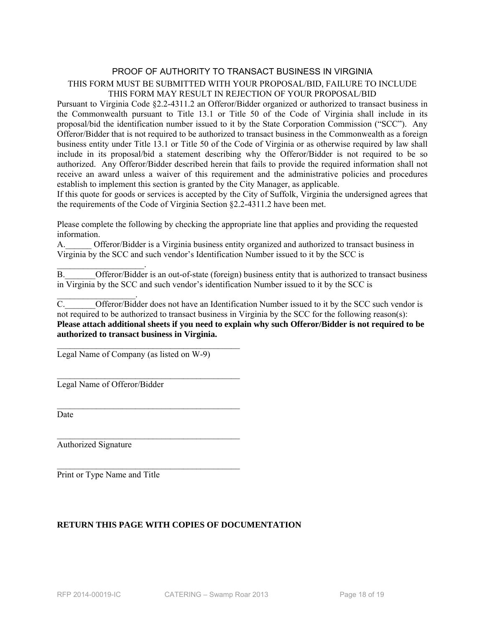#### PROOF OF AUTHORITY TO TRANSACT BUSINESS IN VIRGINIA THIS FORM MUST BE SUBMITTED WITH YOUR PROPOSAL/BID, FAILURE TO INCLUDE THIS FORM MAY RESULT IN REJECTION OF YOUR PROPOSAL/BID

Pursuant to Virginia Code §2.2-4311.2 an Offeror/Bidder organized or authorized to transact business in the Commonwealth pursuant to Title 13.1 or Title 50 of the Code of Virginia shall include in its proposal/bid the identification number issued to it by the State Corporation Commission ("SCC"). Any Offeror/Bidder that is not required to be authorized to transact business in the Commonwealth as a foreign business entity under Title 13.1 or Title 50 of the Code of Virginia or as otherwise required by law shall include in its proposal/bid a statement describing why the Offeror/Bidder is not required to be so authorized. Any Offeror/Bidder described herein that fails to provide the required information shall not receive an award unless a waiver of this requirement and the administrative policies and procedures establish to implement this section is granted by the City Manager, as applicable.

If this quote for goods or services is accepted by the City of Suffolk, Virginia the undersigned agrees that the requirements of the Code of Virginia Section §2.2-4311.2 have been met.

Please complete the following by checking the appropriate line that applies and providing the requested information.

A. Chieror/Bidder is a Virginia business entity organized and authorized to transact business in Virginia by the SCC and such vendor's Identification Number issued to it by the SCC is

 $\mathcal{L}_\text{max}$  and  $\mathcal{L}_\text{max}$  and  $\mathcal{L}_\text{max}$ B. Offeror/Bidder is an out-of-state (foreign) business entity that is authorized to transact business in Virginia by the SCC and such vendor's identification Number issued to it by the SCC is

C. Offeror/Bidder does not have an Identification Number issued to it by the SCC such vendor is not required to be authorized to transact business in Virginia by the SCC for the following reason(s): **Please attach additional sheets if you need to explain why such Offeror/Bidder is not required to be authorized to transact business in Virginia.** 

Legal Name of Company (as listed on W-9)

 $\mathcal{L}_\text{max}$ 

 $\mathcal{L}_\text{max}$ 

 $\mathcal{L}_\text{max}$ 

 $\mathcal{L}_\text{max}$ 

Legal Name of Offeror/Bidder

 $\mathcal{L}_\text{max}$  and  $\mathcal{L}_\text{max}$  and  $\mathcal{L}_\text{max}$ 

Date

Authorized Signature

Print or Type Name and Title

#### **RETURN THIS PAGE WITH COPIES OF DOCUMENTATION**